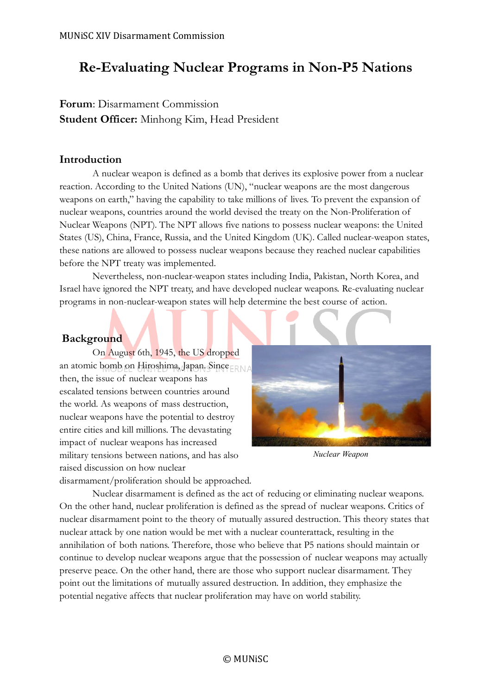## **Re-Evaluating Nuclear Programs in Non-P5 Nations**

## **Forum**: Disarmament Commission **Student Officer:** Minhong Kim, Head President

## **Introduction**

A nuclear weapon is defined as a bomb that derives its explosive power from a nuclear reaction. According to the United Nations (UN), "nuclear weapons are the most dangerous weapons on earth," having the capability to take millions of lives. To prevent the expansion of nuclear weapons, countries around the world devised the treaty on the Non-Proliferation of Nuclear Weapons (NPT). The NPT allows five nations to possess nuclear weapons: the United States (US), China, France, Russia, and the United Kingdom (UK). Called nuclear-weapon states, these nations are allowed to possess nuclear weapons because they reached nuclear capabilities before the NPT treaty was implemented.

Nevertheless, non-nuclear-weapon states including India, Pakistan, North Korea, and Israel have ignored the NPT treaty, and have developed nuclear weapons. Re-evaluating nuclear programs in non-nuclear-weapon states will help determine the best course of action.

## **Background**

On August 6th, 1945, the US dropped an atomic bomb on Hiroshima, Japan. Since FRNA then, the issue of nuclear weapons has escalated tensions between countries around the world. As weapons of mass destruction, nuclear weapons have the potential to destroy entire cities and kill millions. The devastating impact of nuclear weapons has increased military tensions between nations, and has also raised discussion on how nuclear



*Nuclear Weapon*

disarmament/proliferation should be approached.

Nuclear disarmament is defined as the act of reducing or eliminating nuclear weapons. On the other hand, nuclear proliferation is defined as the spread of nuclear weapons. Critics of nuclear disarmament point to the theory of mutually assured destruction. This theory states that nuclear attack by one nation would be met with a nuclear counterattack, resulting in the annihilation of both nations. Therefore, those who believe that P5 nations should maintain or continue to develop nuclear weapons argue that the possession of nuclear weapons may actually preserve peace. On the other hand, there are those who support nuclear disarmament. They point out the limitations of mutually assured destruction. In addition, they emphasize the potential negative affects that nuclear proliferation may have on world stability.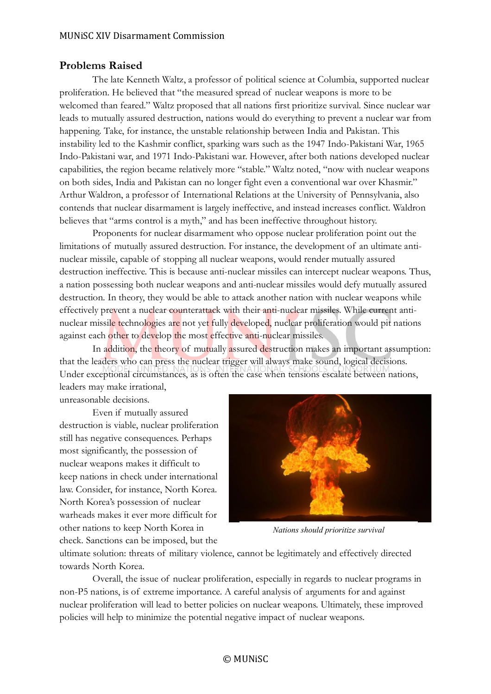### **Problems Raised**

The late Kenneth Waltz, a professor of political science at Columbia, supported nuclear proliferation. He believed that "the measured spread of nuclear weapons is more to be welcomed than feared." Waltz proposed that all nations first prioritize survival. Since nuclear war leads to mutually assured destruction, nations would do everything to prevent a nuclear war from happening. Take, for instance, the unstable relationship between India and Pakistan. This instability led to the Kashmir conflict, sparking wars such as the 1947 Indo-Pakistani War, 1965 Indo-Pakistani war, and 1971 Indo-Pakistani war. However, after both nations developed nuclear capabilities, the region became relatively more "stable." Waltz noted, "now with nuclear weapons on both sides, India and Pakistan can no longer fight even a conventional war over Khasmir." Arthur Waldron, a professor of International Relations at the University of Pennsylvania, also contends that nuclear disarmament is largely ineffective, and instead increases conflict. Waldron believes that "arms control is a myth," and has been ineffective throughout history.

Proponents for nuclear disarmament who oppose nuclear proliferation point out the limitations of mutually assured destruction. For instance, the development of an ultimate antinuclear missile, capable of stopping all nuclear weapons, would render mutually assured destruction ineffective. This is because anti-nuclear missiles can intercept nuclear weapons. Thus, a nation possessing both nuclear weapons and anti-nuclear missiles would defy mutually assured destruction. In theory, they would be able to attack another nation with nuclear weapons while effectively prevent a nuclear counterattack with their anti-nuclear missiles. While current antinuclear missile technologies are not yet fully developed, nuclear proliferation would pit nations against each other to develop the most effective anti-nuclear missiles.

In addition, the theory of mutually assured destruction makes an important assumption: that the leaders who can press the nuclear trigger will always make sound, logical decisions. Under exceptional circumstances, as is often the case when tensions escalate between nations, leaders may make irrational,

unreasonable decisions.

Even if mutually assured destruction is viable, nuclear proliferation still has negative consequences. Perhaps most significantly, the possession of nuclear weapons makes it difficult to keep nations in check under international law. Consider, for instance, North Korea. North Korea's possession of nuclear warheads makes it ever more difficult for other nations to keep North Korea in check. Sanctions can be imposed, but the



*Nations should prioritize survival*

ultimate solution: threats of military violence, cannot be legitimately and effectively directed towards North Korea.

Overall, the issue of nuclear proliferation, especially in regards to nuclear programs in non-P5 nations, is of extreme importance. A careful analysis of arguments for and against nuclear proliferation will lead to better policies on nuclear weapons. Ultimately, these improved policies will help to minimize the potential negative impact of nuclear weapons.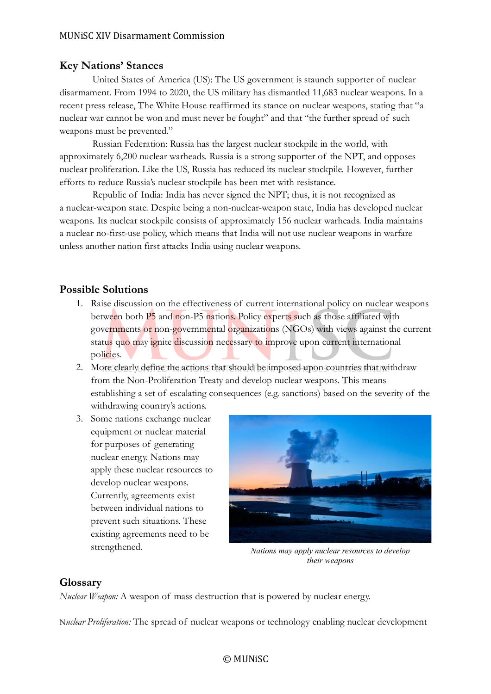## **Key Nations' Stances**

United States of America (US): The US government is staunch supporter of nuclear disarmament. From 1994 to 2020, the US military has dismantled 11,683 nuclear weapons. In a recent press release, The White House reaffirmed its stance on nuclear weapons, stating that "a nuclear war cannot be won and must never be fought" and that "the further spread of such weapons must be prevented."

Russian Federation: Russia has the largest nuclear stockpile in the world, with approximately 6,200 nuclear warheads. Russia is a strong supporter of the NPT, and opposes nuclear proliferation. Like the US, Russia has reduced its nuclear stockpile. However, further efforts to reduce Russia's nuclear stockpile has been met with resistance.

Republic of India: India has never signed the NPT; thus, it is not recognized as a nuclear-weapon state. Despite being a non-nuclear-weapon state, India has developed nuclear weapons. Its nuclear stockpile consists of approximately 156 nuclear warheads. India maintains a nuclear no-first-use policy, which means that India will not use nuclear weapons in warfare unless another nation first attacks India using nuclear weapons.

#### **Possible Solutions**

- 1. Raise discussion on the effectiveness of current international policy on nuclear weapons between both P5 and non-P5 nations. Policy experts such as those affiliated with governments or non-governmental organizations (NGOs) with views against the current status quo may ignite discussion necessary to improve upon current international policies.
- 2. More clearly define the actions that should be imposed upon countries that withdraw from the Non-Proliferation Treaty and develop nuclear weapons. This means establishing a set of escalating consequences (e.g. sanctions) based on the severity of the withdrawing country's actions.
- 3. Some nations exchange nuclear equipment or nuclear material for purposes of generating nuclear energy. Nations may apply these nuclear resources to develop nuclear weapons. Currently, agreements exist between individual nations to prevent such situations. These existing agreements need to be strengthened.



*Nations may apply nuclear resources to develop their weapons*

### **Glossary**

*Nuclear Weapon:* A weapon of mass destruction that is powered by nuclear energy.

N*uclear Proliferation:* The spread of nuclear weapons or technology enabling nuclear development

#### © MUNiSC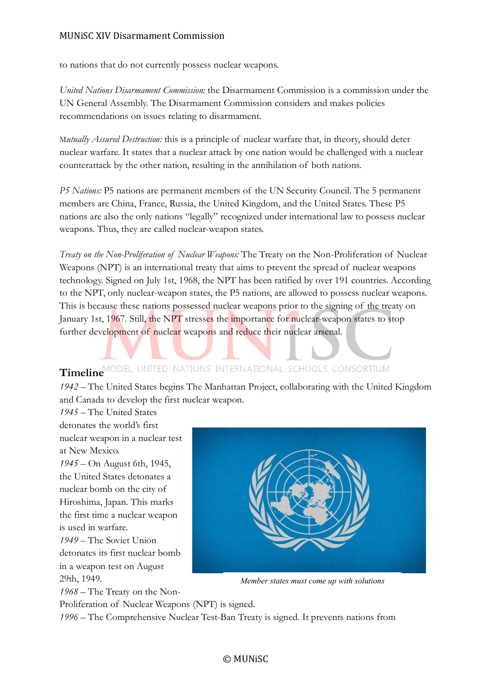#### MUNiSC XIV Disarmament Commission

to nations that do not currently possess nuclear weapons.

*United Nations Disarmament Commission:* the Disarmament Commission is a commission under the UN General Assembly. The Disarmament Commission considers and makes policies recommendations on issues relating to disarmament.

M*utually Assured Destruction:* this is a principle of nuclear warfare that, in theory, should deter nuclear warfare. It states that a nuclear attack by one nation would be challenged with a nuclear counterattack by the other nation, resulting in the annihilation of both nations.

*P5 Nations:* P5 nations are permanent members of the UN Security Council. The 5 permanent members are China, France, Russia, the United Kingdom, and the United States. These P5 nations are also the only nations "legally" recognized under international law to possess nuclear weapons. Thus, they are called nuclear-weapon states.

*Treaty on the Non-Proliferation of Nuclear Weapons:* The Treaty on the Non-Proliferation of Nuclear Weapons (NPT) is an international treaty that aims to prevent the spread of nuclear weapons technology. Signed on July 1st, 1968, the NPT has been ratified by over 191 countries. According to the NPT, only nuclear-weapon states, the P5 nations, are allowed to possess nuclear weapons. This is because these nations possessed nuclear weapons prior to the signing of the treaty on January 1st, 1967. Still, the NPT stresses the importance for nuclear-weapon states to stop further development of nuclear weapons and reduce their nuclear arsenal.

# **Timeline**

*1942 –* The United States begins The Manhattan Project, collaborating with the United Kingdom and Canada to develop the first nuclear weapon.

*1945 –* The United States detonates the world's first nuclear weapon in a nuclear test at New Mexico. *1945 –* On August 6th, 1945, the United States detonates a nuclear bomb on the city of Hiroshima, Japan. This marks the first time a nuclear weapon is used in warfare. *1949 –* The Soviet Union detonates its first nuclear bomb in a weapon test on August 29th, 1949. *1968 –* The Treaty on the Non-



*Member states must come up with solutions*

Proliferation of Nuclear Weapons (NPT) is signed.

*1996 –* The Comprehensive Nuclear Test-Ban Treaty is signed. It prevents nations from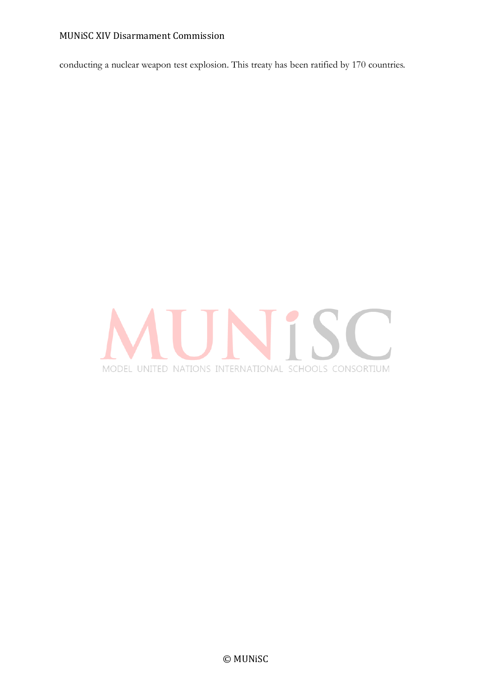#### MUNiSC XIV Disarmament Commission

conducting a nuclear weapon test explosion. This treaty has been ratified by 170 countries.

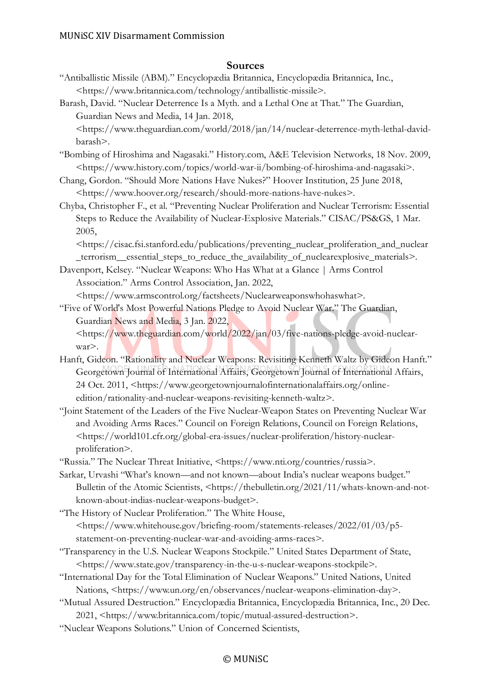#### **Sources**

"Antiballistic Missile (ABM)." Encyclopædia Britannica, Encyclopædia Britannica, Inc., <https://www.britannica.com/technology/antiballistic-missile>.

Barash, David. "Nuclear Deterrence Is a Myth. and a Lethal One at That." The Guardian, Guardian News and Media, 14 Jan. 2018,

<https://www.theguardian.com/world/2018/jan/14/nuclear-deterrence-myth-lethal-davidbarash>.

- "Bombing of Hiroshima and Nagasaki." History.com, A&E Television Networks, 18 Nov. 2009, <https://www.history.com/topics/world-war-ii/bombing-of-hiroshima-and-nagasaki>.
- Chang, Gordon. "Should More Nations Have Nukes?" Hoover Institution, 25 June 2018, <https://www.hoover.org/research/should-more-nations-have-nukes>.
- Chyba, Christopher F., et al. "Preventing Nuclear Proliferation and Nuclear Terrorism: Essential Steps to Reduce the Availability of Nuclear-Explosive Materials." CISAC/PS&GS, 1 Mar. 2005,

<https://cisac.fsi.stanford.edu/publications/preventing\_nuclear\_proliferation\_and\_nuclear terrorism essential steps to reduce the availability of nuclear explosive materials $\geq$ .

Davenport, Kelsey. "Nuclear Weapons: Who Has What at a Glance | Arms Control Association." Arms Control Association, Jan. 2022,

<https://www.armscontrol.org/factsheets/Nuclearweaponswhohaswhat>.

"Five of World's Most Powerful Nations Pledge to Avoid Nuclear War." The Guardian, Guardian News and Media, 3 Jan. 2022,

<https://www.theguardian.com/world/2022/jan/03/five-nations-pledge-avoid-nuclearwar>.

- Hanft, Gideon. "Rationality and Nuclear Weapons: Revisiting Kenneth Waltz by Gideon Hanft." Georgetown Journal of International Affairs, Georgetown Journal of International Affairs, 24 Oct. 2011, <https://www.georgetownjournalofinternationalaffairs.org/onlineedition/rationality-and-nuclear-weapons-revisiting-kenneth-waltz>.
- "Joint Statement of the Leaders of the Five Nuclear-Weapon States on Preventing Nuclear War and Avoiding Arms Races." Council on Foreign Relations, Council on Foreign Relations, <https://world101.cfr.org/global-era-issues/nuclear-proliferation/history-nuclearproliferation>.

"Russia." The Nuclear Threat Initiative, <https://www.nti.org/countries/russia>.

Sarkar, Urvashi "What's known—and not known—about India's nuclear weapons budget." Bulletin of the Atomic Scientists, <https://thebulletin.org/2021/11/whats-known-and-notknown-about-indias-nuclear-weapons-budget>.

"The History of Nuclear Proliferation." The White House, <https://www.whitehouse.gov/briefing-room/statements-releases/2022/01/03/p5 statement-on-preventing-nuclear-war-and-avoiding-arms-races>.

- "Transparency in the U.S. Nuclear Weapons Stockpile." United States Department of State, <https://www.state.gov/transparency-in-the-u-s-nuclear-weapons-stockpile>.
- "International Day for the Total Elimination of Nuclear Weapons." United Nations, United Nations, <https://www.un.org/en/observances/nuclear-weapons-elimination-day>.
- "Mutual Assured Destruction." Encyclopædia Britannica, Encyclopædia Britannica, Inc., 20 Dec. 2021, <https://www.britannica.com/topic/mutual-assured-destruction>.
- "Nuclear Weapons Solutions." Union of Concerned Scientists,

#### © MUNiSC